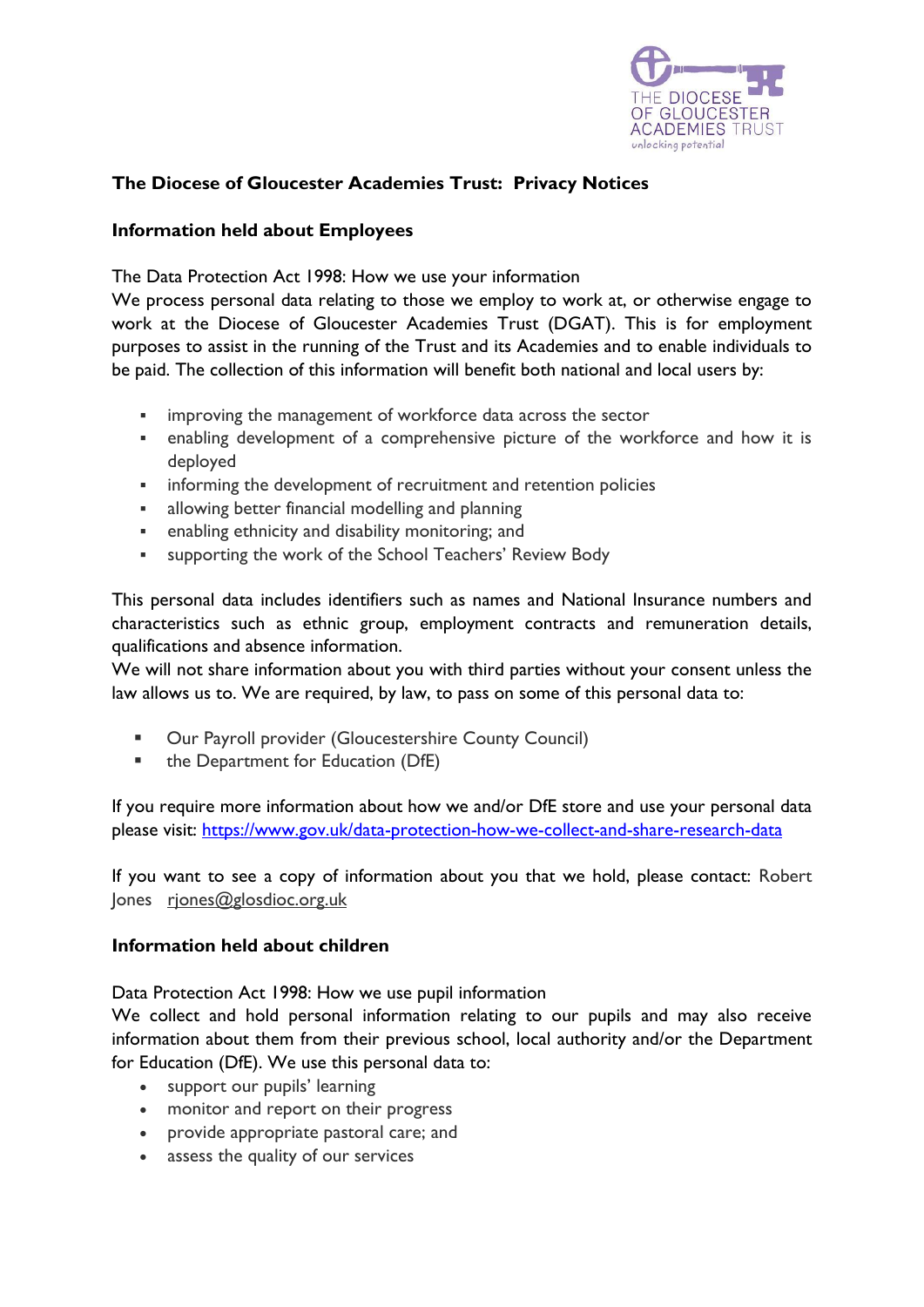

## **The Diocese of Gloucester Academies Trust: Privacy Notices**

## **Information held about Employees**

The Data Protection Act 1998: How we use your information

We process personal data relating to those we employ to work at, or otherwise engage to work at the Diocese of Gloucester Academies Trust (DGAT). This is for employment purposes to assist in the running of the Trust and its Academies and to enable individuals to be paid. The collection of this information will benefit both national and local users by:

- improving the management of workforce data across the sector
- enabling development of a comprehensive picture of the workforce and how it is deployed
- **EXECT** informing the development of recruitment and retention policies
- allowing better financial modelling and planning
- enabling ethnicity and disability monitoring; and
- supporting the work of the School Teachers' Review Body

This personal data includes identifiers such as names and National Insurance numbers and characteristics such as ethnic group, employment contracts and remuneration details, qualifications and absence information.

We will not share information about you with third parties without your consent unless the law allows us to. We are required, by law, to pass on some of this personal data to:

- Our Payroll provider (Gloucestershire County Council)
- the Department for Education (DfE)

If you require more information about how we and/or DfE store and use your personal data please visit: <https://www.gov.uk/data-protection-how-we-collect-and-share-research-data>

If you want to see a copy of information about you that we hold, please contact: Robert Jones [rjones@glosdioc.org.uk](mailto:rjones@glosdioc.org.uk)

## **Information held about children**

Data Protection Act 1998: How we use pupil information

We collect and hold personal information relating to our pupils and may also receive information about them from their previous school, local authority and/or the Department for Education (DfE). We use this personal data to:

- support our pupils' learning
- monitor and report on their progress
- provide appropriate pastoral care; and
- assess the quality of our services